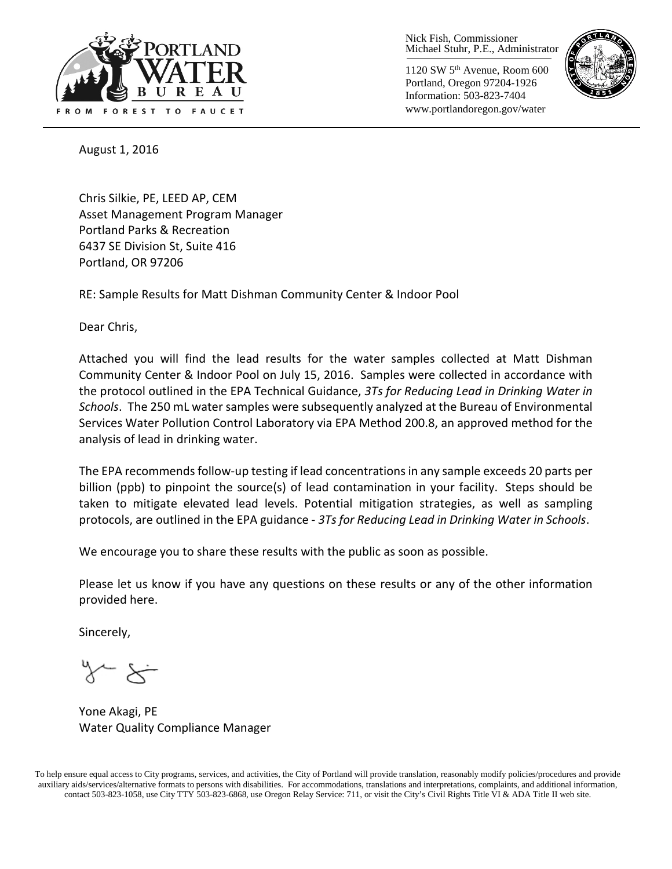

Nick Fish, Commissioner Michael Stuhr, P.E., Administrator

1120 SW 5th Avenue, Room 600 Portland, Oregon 97204-1926 Information: 503-823-7404 www.portlandoregon.gov/water



August 1, 2016

Chris Silkie, PE, LEED AP, CEM Asset Management Program Manager Portland Parks & Recreation 6437 SE Division St, Suite 416 Portland, OR 97206

RE: Sample Results for Matt Dishman Community Center & Indoor Pool

Dear Chris,

Attached you will find the lead results for the water samples collected at Matt Dishman Community Center & Indoor Pool on July 15, 2016. Samples were collected in accordance with the protocol outlined in the EPA Technical Guidance, *3Ts for Reducing Lead in Drinking Water in Schools*. The 250 mL water samples were subsequently analyzed at the Bureau of Environmental Services Water Pollution Control Laboratory via EPA Method 200.8, an approved method for the analysis of lead in drinking water.

The EPA recommends follow-up testing if lead concentrations in any sample exceeds 20 parts per billion (ppb) to pinpoint the source(s) of lead contamination in your facility. Steps should be taken to mitigate elevated lead levels. Potential mitigation strategies, as well as sampling protocols, are outlined in the EPA guidance - *3Ts for Reducing Lead in Drinking Water in Schools*.

We encourage you to share these results with the public as soon as possible.

Please let us know if you have any questions on these results or any of the other information provided here.

Sincerely,

Yone Akagi, PE Water Quality Compliance Manager

To help ensure equal access to City programs, services, and activities, the City of Portland will provide translation, reasonably modify policies/procedures and provide auxiliary aids/services/alternative formats to persons with disabilities. For accommodations, translations and interpretations, complaints, and additional information, contact 503-823-1058, use City TTY 503-823-6868, use Oregon Relay Service: 711, or visi[t the City's Civil Rights Title VI & ADA Title II web site.](http://www.portlandoregon.gov/oehr/66458)